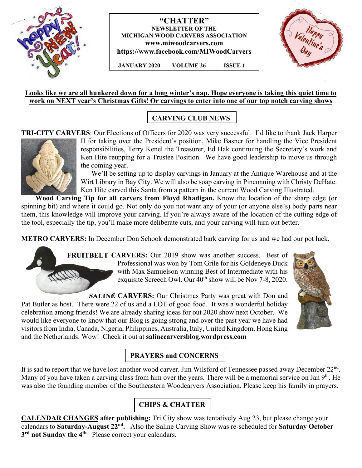

### **"CHATTER" NEWSLETTER OF THE MICHIGAN WOOD CARVERS ASSOCIATION www.miwoodcarvers.com https://www.facebook.com/MIWoodCarvers**

 **JANUARY 2020 VOLUME 26 ISSUE 1**



#### **Looks like we are all hunkered down for a long winter's nap. Hope everyone is taking this quiet time to work on NEXT year's Christmas Gifts! Or carvings to enter into one of our top notch carving shows**

# **CARVING CLUB NEWS**

**TRI-CITY CARVERS**: Our Elections of Officers for 2020 was very successful. I'd like to thank Jack Harper



II for taking over the President's position, Mike Basner for handling the Vice President responsibilities, Terry Kenel the Treasurer, Ed Hak continuing the Secretary's work and Ken Hite reupping for a Trustee Position. We have good leadership to move us through the coming year.

 We'll be setting up to display carvings in January at the Antique Warehouse and at the Wirt Library in Bay City. We will also be soap carving in Pinconning with Christy DeHate. Ken Hite carved this Santa from a pattern in the current Wood Carving Illustrated.

 **Wood Carving Tip for all carvers from Floyd Rhadigan.** Know the location of the sharp edge (or spinning bit) and where it could go. Not only do you not want any of your (or anyone else's) body parts near them, this knowledge will improve your carving. If you're always aware of the location of the cutting edge of the tool, especially the tip, you'll make more deliberate cuts, and your carving will turn out better.

**METRO CARVERS:** In December Don Schook demonstrated bark carving for us and we had our pot luck.



**FRUITBELT CARVERS:** Our 2019 show was another success. Best of Professional was won by Tom Grile for his Goldeneye Duck with Max Samuelson winning Best of Intermediate with his exquisite Screech Owl. Our  $40^{\text{th}}$  show will be Nov 7-8, 2020.

**SALINE CARVERS:** Our Christmas Party was great with Don and Pat Butler as host. There were 22 of us and a LOT of good food. It was a wonderful holiday celebration among friends! We are already sharing ideas for out 2020 show next October. We would like everyone to know that our Blog is going strong and over the past year we have had visitors from India, Canada, Nigeria, Philippines, Australia, Italy, United Kingdom, Hong King and the Netherlands. Wow! Check it out at **salinecarversblog.wordpress.com**



# **PRAYERS and CONCERNS**

It is sad to report that we have lost another wood carver. Jim Wilsford of Tennessee passed away December 22<sup>nd</sup>. Many of you have taken a carving class from him over the years. There will be a memorial service on Jan 9<sup>th</sup>. He was also the founding member of the Southeastern Woodcarvers Association. Please keep his family in prayers.

# **CHIPS & CHATTER**

**CALENDAR CHANGES after publishing:** Tri City show was tentatively Aug 23, but please change your calendars to **Saturday-August 22nd .** Also the Saline Carving Show was re-scheduled for **Saturday October 3 rd not Sunday the 4th.** Please correct your calendars.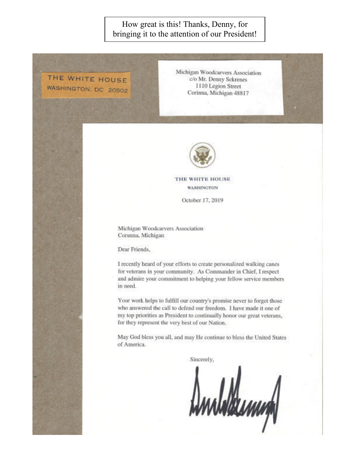## How great is this! Thanks, Denny, for bringing it to the attention of our President!

THE WHITE HOUSE WASHINGTON, DC 20502 Michigan Woodcarvers Association c/o Mr. Denny Sekrenes 1110 Legion Street Corinna, Michigan 48817



THE WHITE HOUSE **WASHINGTON** 

October 17, 2019

Michigan Woodcarvers Association Corunna, Michigan

Dear Friends,

I recently heard of your efforts to create personalized walking canes for veterans in your community. As Commander in Chief, I respect and admire your commitment to helping your fellow service members in need.

Your work helps to fulfill our country's promise never to forget those who answered the call to defend our freedom. I have made it one of my top priorities as President to continually honor our great veterans, for they represent the very best of our Nation.

May God bless you all, and may He continue to bless the United States of America.

Sincerely,

Ambaldumn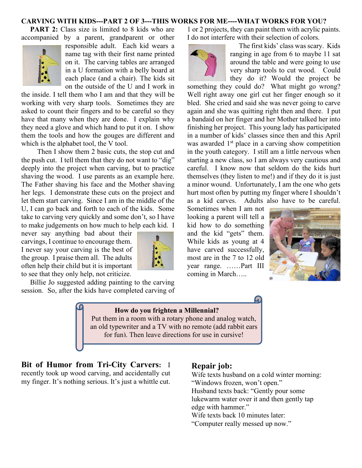#### **CARVING WITH KIDS---PART 2 OF 3---THIS WORKS FOR ME----WHAT WORKS FOR YOU?**

**PART 2:** Class size is limited to 8 kids who are accompanied by a parent, grandparent or other



responsible adult. Each kid wears a name tag with their first name printed on it. The carving tables are arranged in a U formation with a belly board at each place (and a chair). The kids sit on the outside of the U and I work in

the inside. I tell them who I am and that they will be working with very sharp tools. Sometimes they are asked to count their fingers and to be careful so they have that many when they are done. I explain why they need a glove and which hand to put it on. I show them the tools and how the gouges are different and which is the alphabet tool, the V tool.

 Then I show them 2 basic cuts, the stop cut and the push cut. I tell them that they do not want to "dig" deeply into the project when carving, but to practice shaving the wood. I use parents as an example here. The Father shaving his face and the Mother shaving her legs. I demonstrate these cuts on the project and let them start carving. Since I am in the middle of the U, I can go back and forth to each of the kids. Some take to carving very quickly and some don't, so I have to make judgements on how much to help each kid. I

never say anything bad about their carvings, I continue to encourage them. I never say your carving is the best of the group. I praise them all. The adults often help their child but it is important to see that they only help, not criticize.

 Billie Jo suggested adding painting to the carving session. So, after the kids have completed carving of

1 or 2 projects, they can paint them with acrylic paints. I do not interfere with their selection of colors.



 The first kids' class was scary. Kids ranging in age from 6 to maybe 11 sat around the table and were going to use very sharp tools to cut wood. Could they do it? Would the project be

something they could do? What might go wrong? Well right away one girl cut her finger enough so it bled. She cried and said she was never going to carve again and she was quitting right then and there. I put a bandaid on her finger and her Mother talked her into finishing her project. This young lady has participated in a number of kids' classes since then and this April was awarded  $1<sup>st</sup>$  place in a carving show competition in the youth category. I still am a little nervous when starting a new class, so I am always very cautious and careful. I know now that seldom do the kids hurt themselves (they listen to me!) and if they do it is just a minor wound. Unfortunately, I am the one who gets hurt most often by putting my finger where I shouldn't as a kid carves. Adults also have to be careful.

Sometimes when I am not looking a parent will tell a kid how to do something and the kid "gets" them. While kids as young at 4 have carved successfully, most are in the 7 to 12 old year range. ……Part III coming in March…..





### **How do you frighten a Millennial?**

Put them in a room with a rotary phone and analog watch, an old typewriter and a TV with no remote (add rabbit ears for fun). Then leave directions for use in cursive!

**Bit of Humor from Tri-City Carvers:** I recently took up wood carving, and accidentally cut my finger. It's nothing serious. It's just a whittle cut.

#### **Repair job:**

Wife texts husband on a cold winter morning: "Windows frozen, won't open." Husband texts back: "Gently pour some lukewarm water over it and then gently tap edge with hammer." Wife texts back 10 minutes later:

"Computer really messed up now."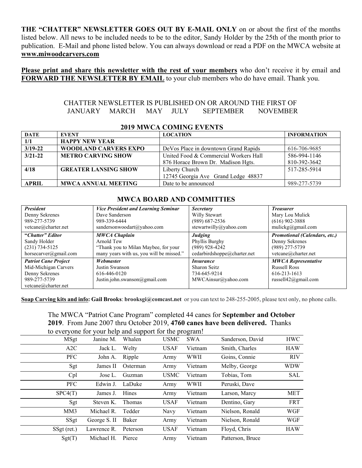**THE "CHATTER" NEWSLETTER GOES OUT BY E-MAIL ONLY** on or about the first of the months listed below. All news to be included needs to be to the editor, Sandy Holder by the 25th of the month prior to publication. E-Mail and phone listed below. You can always download or read a PDF on the MWCA website at **www.miwoodcarvers.com**

**Please print and share this newsletter with the rest of your members** who don't receive it by email and **FORWARD THE NEWSLETTER BY EMAIL** to your club members who do have email. Thank you.

#### CHATTER NEWSLETTER IS PUBLISHED ON OR AROUND THE FIRST OF JANUARY MARCH MAY JULY SEPTEMBER NOVEMBER

| <b>DATE</b>  | <b>EVENT</b>                 | <b>LOCATION</b>                       | <b>INFORMATION</b> |
|--------------|------------------------------|---------------------------------------|--------------------|
| 1/1          | <b>HAPPY NEW YEAR</b>        |                                       |                    |
| $3/19 - 22$  | <b>WOODLAND CARVERS EXPO</b> | De Vos Place in downtown Grand Rapids | 616-706-9685       |
| $3/21 - 22$  | <b>METRO CARVING SHOW</b>    | United Food & Commercial Workers Hall | 586-994-1146       |
|              |                              | 876 Horace Brown Dr. Madison Hgts.    | 810-392-3642       |
| 4/18         | <b>GREATER LANSING SHOW</b>  | Liberty Church                        | 517-285-5914       |
|              |                              | 12745 Georgia Ave Grand Ledge 48837   |                    |
| <b>APRIL</b> | <b>MWCA ANNUAL MEETING</b>   | Date to be announced                  | 989-277-5739       |

#### **2019 MWCA COMING EVENTS**

#### **MWCA BOARD AND COMMITTIES**

| <b>President</b>                                                                                             | <b>Vice President and Learning Seminar</b>                                   | <b>Secretary</b>                                                        | <b>Treasurer</b>                                                                             |
|--------------------------------------------------------------------------------------------------------------|------------------------------------------------------------------------------|-------------------------------------------------------------------------|----------------------------------------------------------------------------------------------|
| Denny Sekrenes                                                                                               | Dave Sanderson                                                               | Willy Stewart                                                           | Mary Lou Mulick                                                                              |
| 989-277-5739                                                                                                 | 989-339-6444                                                                 | $(989)$ 687-2536                                                        | $(616)$ 902-3888                                                                             |
| vetcane@charter.net                                                                                          | sandersonwoodart@yahoo.com                                                   | stewartwilly@yahoo.com                                                  | mulickg@gmail.com                                                                            |
| "Chatter" Editor                                                                                             | <b>MWCA Chaplain</b>                                                         | Judging                                                                 | <b>Promotional (Calendars, etc.)</b>                                                         |
| Sandy Holder                                                                                                 | Arnold Tew                                                                   | Phyllis Burghy                                                          | Denny Sekrenes                                                                               |
| $(231) 734 - 5125$                                                                                           | "Thank you to Milan Maybee, for your                                         | $(989)$ 928-4242                                                        | $(989)$ 277-5739                                                                             |
| horsecarver@gmail.com                                                                                        | many years with us, you will be missed."                                     | cedarbirdshoppe@charter.net                                             | vetcane@charter.net                                                                          |
| <b>Patriot Cane Project</b><br>Mid-Michigan Carvers<br>Denny Sekrenes<br>989-277-5739<br>vetcane@charter.net | Webmaster<br>Justin Swanson<br>616-446-0120<br>Justin.john.swanson@gmail.com | <i>Insurance</i><br>Sharon Seitz<br>734-645-9214<br>MWCAinsur@yahoo.com | <b>MWCA Representative</b><br><b>Russell Ross</b><br>616-213-1613<br>russell $42$ @gmail.com |

**Soap Carving kits and info: Gail Brooks**: **brooksgi@comcast.net** or you can text to 248-255-2005, please text only, no phone calls.

The MWCA "Patriot Cane Program" completed 44 canes for **September and October 2019**. From June 2007 thru October 2019, **4760 canes have been delivered.** Thanks to everyone for your help and support for the program!

|             |              |          |             | $  -$      |                  |            |
|-------------|--------------|----------|-------------|------------|------------------|------------|
| <b>MSgt</b> | Janine M.    | Whalen   | <b>USMC</b> | <b>SWA</b> | Sanderson, David | <b>HWC</b> |
| A2C         | Jack L.      | Welty    | <b>USAF</b> | Vietnam    | Smith, Charles   | <b>HAW</b> |
| <b>PFC</b>  | John A.      | Ripple   | Army        | WWII       | Goins, Connie    | <b>RIV</b> |
| Sgt         | James II     | Osterman | Army        | Vietnam    | Melby, George    | WDW        |
| Cpl         | Jose L.      | Guzman   | <b>USMC</b> | Vietnam    | Tobias, Tom      | SAL        |
| <b>PFC</b>  | Edwin J.     | LaDuke   | Army        | WWII       | Peruski, Dave    |            |
| SPC4(T)     | James J.     | Hines    | Army        | Vietnam    | Larson, Marcy    | <b>MET</b> |
| Sgt         | Steven K.    | Thomas   | <b>USAF</b> | Vietnam    | Dentino, Gary    | <b>FRT</b> |
| MM3         | Michael R.   | Tedder   | Navy        | Vietnam    | Nielson, Ronald  | WGF        |
| SSgt        | George S. II | Baker    | Army        | Vietnam    | Nielson, Ronald  | WGF        |
| SSgt (ret.) | Lawrence R.  | Peterson | <b>USAF</b> | Vietnam    | Floyd, Chris     | HAW        |
| Sgt(T)      | Michael H.   | Pierce   | Army        | Vietnam    | Patterson, Bruce |            |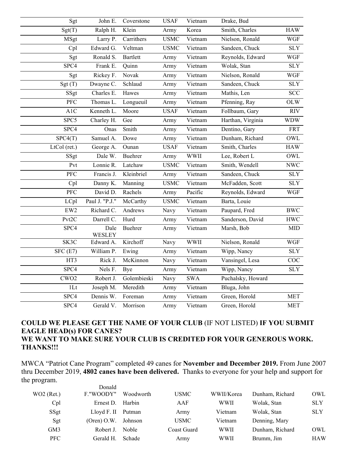| Sgt              | John E.        | Coverstone  | <b>USAF</b> | Vietnam               | Drake, Bud        |              |
|------------------|----------------|-------------|-------------|-----------------------|-------------------|--------------|
| Sgt(T)           | Ralph H.       | Klein       | Army        | Korea                 | Smith, Charles    | <b>HAW</b>   |
| MSgt             | Larry P.       | Carrithers  | <b>USMC</b> | Vietnam               | Nielson, Ronald   | WGF          |
| Cpl              | Edward G.      | Veltman     | <b>USMC</b> | Vietnam               | Sandeen, Chuck    | <b>SLY</b>   |
| Sgt              | Ronald S.      | Bartlett    | Army        | Vietnam               | Reynolds, Edward  | <b>WGF</b>   |
| SPC4             | Frank E.       | Quinn       | Army        | $\overline{V}$ ietnam | Wolak, Stan       | SLY          |
| Sgt              | Rickey F.      | Novak       | Army        | Vietnam               | Nielson, Ronald   | <b>WGF</b>   |
| Sgt(T)           | Dwayne C.      | Schlaud     | Army        | Vietnam               | Sandeen, Chuck    | <b>SLY</b>   |
| SSgt             | Charles E.     | Hawes       | Army        | $\overline{V}$ ietnam | Mathis, Len       | <b>SCC</b>   |
| PFC              | Thomas L.      | Longueuil   | Army        | Vietnam               | Pfenning, Ray     | OLW          |
| A1C              | Kenneth L.     | Moore       | <b>USAF</b> | Vietnam               | Follbaum, Gary    | <b>RIV</b>   |
| SPC5             | Charley H.     | Gee         | Army        | Vietnam               | Harthan, Virginia | <b>WDW</b>   |
| SPC4             | Onas           | Smith       | Army        | Vietnam               | Dentino, Gary     | <b>FRT</b>   |
| SPC4(T)          | Samuel A.      | Dowe        | Army        | Vietnam               | Dunham, Richard   | OWL          |
| LtCol (ret.)     | George A.      | Ounan       | <b>USAF</b> | Vietnam               | Smith, Charles    | <b>HAW</b>   |
| SSgt             | Dale W.        | Buehrer     | Army        | <b>WWII</b>           | Lee, Robert L     | OWL          |
| Pvt              | Lonnie R.      | Latchaw     | <b>USMC</b> | Vietnam               | Smith, Wendell    | <b>NWC</b>   |
| $\overline{PFC}$ | Francis J.     | Kleinbriel  | Army        | Vietnam               | Sandeen, Chuck    | <b>SLY</b>   |
| Cpl              | Danny K.       | Manning     | <b>USMC</b> | Vietnam               | McFadden, Scott   | <b>SLY</b>   |
| $\overline{PFC}$ | David D.       | Rachels     | Army        | Pacific               | Reynolds, Edward  | <b>WGF</b>   |
| LCpl             | Paul J. "P.J." | McCarthy    | <b>USMC</b> | Vietnam               | Barta, Louie      |              |
| EW <sub>2</sub>  | Richard C.     | Andrews     | Navy        | $\overline{V}$ ietnam | Paupard, Fred     | <b>BWC</b>   |
| Pvt2C            | Darrell C.     | Hurd        | Army        | Vietnam               | Sanderson, David  | $\bold{HWC}$ |
| SPC4             | Dale<br>WESLEY | Buehrer     | Army        | Vietnam               | Marsh, Bob        | MID          |
| SK3C             | Edward A.      | Kirchoff    | Navy        | <b>WWII</b>           | Nielson, Ronald   | WGF          |
| SFC(E7)          | William P.     | Ewing       | Army        | Vietnam               | Wipp, Nancy       | <b>SLY</b>   |
| HT3              | Rick J.        | McKinnon    | Navy        | Vietnam               | Vansingel, Lesa   | COC          |
| SPC4             | Nels F.        | Bye         | Army        | $\overline{V}$ ietnam | Wipp, Nancy       | <b>SLY</b>   |
| CWO <sub>2</sub> | Robert J.      | Golembieski | Navy        | <b>SWA</b>            | Puchalsky, Howard |              |
| 1 <sub>Lt</sub>  | Joseph M.      | Meredith    | Army        | Vietnam               | Bluga, John       |              |
| SPC4             | Dennis W.      | Foreman     | Army        | Vietnam               | Green, Horold     | <b>MET</b>   |
| SPC4             | Gerald V.      | Morrison    | Army        | Vietnam               | Green, Horold     | <b>MET</b>   |

### **COULD WE PLEASE GET THE NAME OF YOUR CLUB** (IF NOT LISTED) **IF YOU SUBMIT EAGLE HEAD(s) FOR CANES? WE WANT TO MAKE SURE YOUR CLUB IS CREDITED FOR YOUR GENEROUS WORK. THANKS!!!**

MWCA "Patriot Cane Program" completed 49 canes for **November and December 2019.** From June 2007 thru December 2019, **4802 canes have been delivered.** Thanks to everyone for your help and support for the program. Donald

| WO2 (Ret.) | F."WOODY"     | Woodworth    | <b>USMC</b> | WWII/Korea  | Dunham, Richard | OWL        |
|------------|---------------|--------------|-------------|-------------|-----------------|------------|
| Cpl        | Ernest D.     | Harbin       | AAF         | <b>WWII</b> | Wolak, Stan     | <b>SLY</b> |
| SSgt       | Lloyd F. II   | Putman       | Army        | Vietnam     | Wolak, Stan     | <b>SLY</b> |
| Sgt        | $(Open)$ O.W. | Johnson      | <b>USMC</b> | Vietnam     | Denning, Mary   |            |
| GM3        | Robert J.     | <b>Noble</b> | Coast Guard | <b>WWII</b> | Dunham, Richard | OWL        |
| <b>PFC</b> | Gerald H.     | Schade       | Army        | <b>WWII</b> | Brumm, Jim      | <b>HAW</b> |